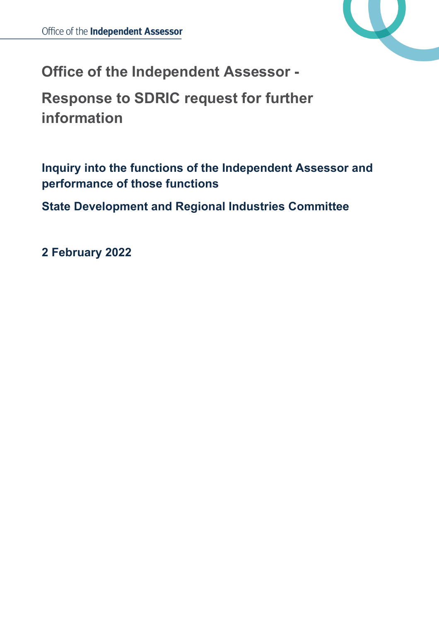

**Office of the Independent Assessor -**

**Response to SDRIC request for further information**

**Inquiry into the functions of the Independent Assessor and performance of those functions**

**State Development and Regional Industries Committee**

**2 February 2022**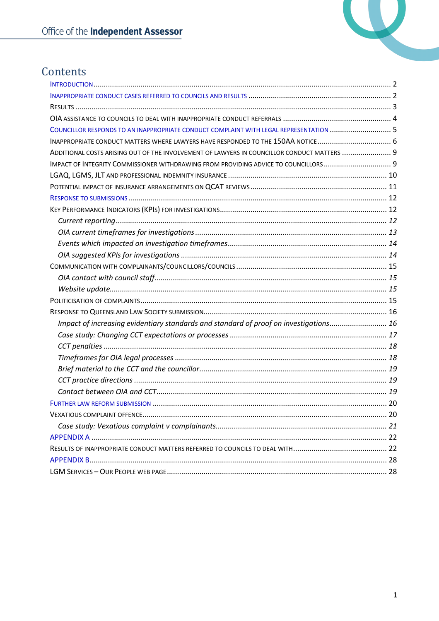

# Contents

| COUNCILLOR RESPONDS TO AN INAPPROPRIATE CONDUCT COMPLAINT WITH LEGAL REPRESENTATION  5      |  |
|---------------------------------------------------------------------------------------------|--|
|                                                                                             |  |
| ADDITIONAL COSTS ARISING OUT OF THE INVOLVEMENT OF LAWYERS IN COUNCILLOR CONDUCT MATTERS  9 |  |
| IMPACT OF INTEGRITY COMMISSIONER WITHDRAWING FROM PROVIDING ADVICE TO COUNCILLORS           |  |
|                                                                                             |  |
|                                                                                             |  |
|                                                                                             |  |
|                                                                                             |  |
|                                                                                             |  |
|                                                                                             |  |
|                                                                                             |  |
|                                                                                             |  |
|                                                                                             |  |
|                                                                                             |  |
|                                                                                             |  |
|                                                                                             |  |
|                                                                                             |  |
| Impact of increasing evidentiary standards and standard of proof on investigations 16       |  |
|                                                                                             |  |
|                                                                                             |  |
|                                                                                             |  |
|                                                                                             |  |
|                                                                                             |  |
|                                                                                             |  |
|                                                                                             |  |
|                                                                                             |  |
|                                                                                             |  |
|                                                                                             |  |
|                                                                                             |  |
|                                                                                             |  |
|                                                                                             |  |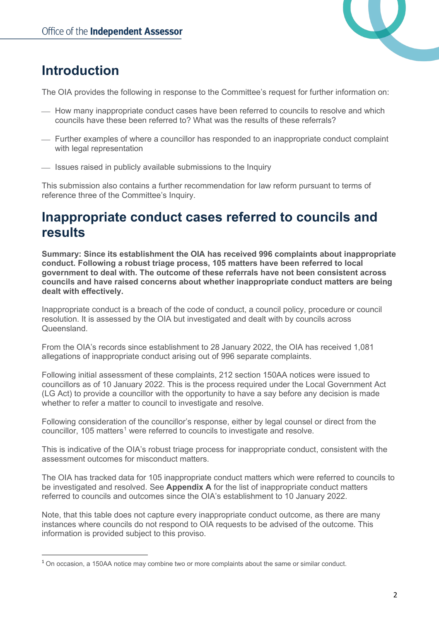

# <span id="page-2-0"></span>**Introduction**

The OIA provides the following in response to the Committee's request for further information on:

- $-$  How many inappropriate conduct cases have been referred to councils to resolve and which councils have these been referred to? What was the results of these referrals?
- Further examples of where a councillor has responded to an inappropriate conduct complaint with legal representation
- $-$  Issues raised in publicly available submissions to the Inquiry

This submission also contains a further recommendation for law reform pursuant to terms of reference three of the Committee's Inquiry.

# <span id="page-2-1"></span>**Inappropriate conduct cases referred to councils and results**

**Summary: Since its establishment the OIA has received 996 complaints about inappropriate conduct. Following a robust triage process, 105 matters have been referred to local government to deal with. The outcome of these referrals have not been consistent across councils and have raised concerns about whether inappropriate conduct matters are being dealt with effectively.**

Inappropriate conduct is a breach of the code of conduct, a council policy, procedure or council resolution. It is assessed by the OIA but investigated and dealt with by councils across Queensland.

From the OIA's records since establishment to 28 January 2022, the OIA has received 1,081 allegations of inappropriate conduct arising out of 996 separate complaints.

Following initial assessment of these complaints, 212 section 150AA notices were issued to councillors as of 10 January 2022. This is the process required under the Local Government Act (LG Act) to provide a councillor with the opportunity to have a say before any decision is made whether to refer a matter to council to investigate and resolve.

Following consideration of the councillor's response, either by legal counsel or direct from the councillor, [1](#page-2-2)05 matters<sup>1</sup> were referred to councils to investigate and resolve.

This is indicative of the OIA's robust triage process for inappropriate conduct, consistent with the assessment outcomes for misconduct matters.

The OIA has tracked data for 105 inappropriate conduct matters which were referred to councils to be investigated and resolved. See **Appendix A** for the list of inappropriate conduct matters referred to councils and outcomes since the OIA's establishment to 10 January 2022.

Note, that this table does not capture every inappropriate conduct outcome, as there are many instances where councils do not respond to OIA requests to be advised of the outcome. This information is provided subject to this proviso.

<span id="page-2-2"></span><sup>1</sup> On occasion, a 150AA notice may combine two or more complaints about the same or similar conduct.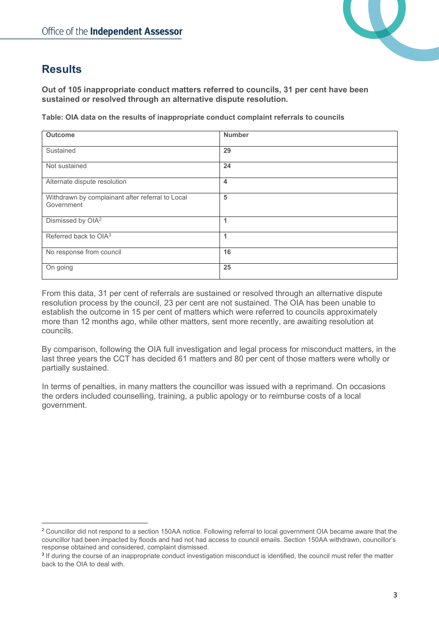

## <span id="page-3-0"></span>**Results**

**Out of 105 inappropriate conduct matters referred to councils, 31 per cent have been sustained or resolved through an alternative dispute resolution.**

**Table: OIA data on the results of inappropriate conduct complaint referrals to councils**

| <b>Outcome</b>                                                 | <b>Number</b>  |
|----------------------------------------------------------------|----------------|
| Sustained                                                      | 29             |
| Not sustained                                                  | 24             |
| Alternate dispute resolution                                   | $\overline{4}$ |
| Withdrawn by complainant after referral to Local<br>Government | 5              |
| Dismissed by OIA <sup>2</sup>                                  | 1              |
| Referred back to OIA <sup>3</sup>                              | 1              |
| No response from council                                       | 16             |
| On going                                                       | 25             |

From this data, 31 per cent of referrals are sustained or resolved through an alternative dispute resolution process by the council, 23 per cent are not sustained. The OIA has been unable to establish the outcome in 15 per cent of matters which were referred to councils approximately more than 12 months ago, while other matters, sent more recently, are awaiting resolution at councils.

By comparison, following the OIA full investigation and legal process for misconduct matters, in the last three years the CCT has decided 61 matters and 80 per cent of those matters were wholly or partially sustained.

In terms of penalties, in many matters the councillor was issued with a reprimand. On occasions the orders included counselling, training, a public apology or to reimburse costs of a local government.

<span id="page-3-1"></span><sup>&</sup>lt;sup>2</sup> Councillor did not respond to a section 150AA notice. Following referral to local government OIA became aware that the councillor had been impacted by floods and had not had access to council emails. Section 150AA withdrawn, councillor's response obtained and considered, complaint dismissed.

<span id="page-3-2"></span><sup>&</sup>lt;sup>3</sup> If during the course of an inappropriate conduct investigation misconduct is identified, the council must refer the matter back to the OIA to deal with.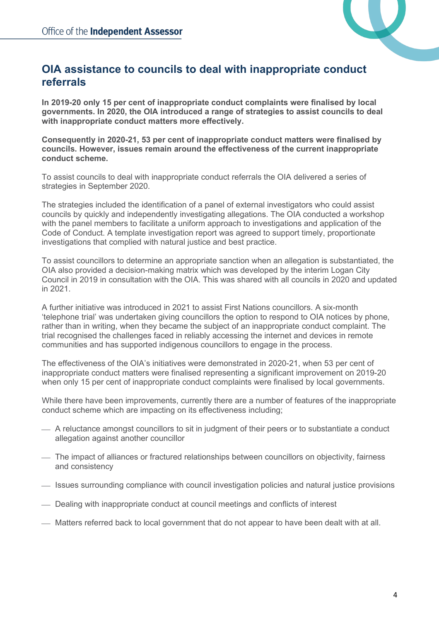

## <span id="page-4-0"></span>**OIA assistance to councils to deal with inappropriate conduct referrals**

**In 2019-20 only 15 per cent of inappropriate conduct complaints were finalised by local governments. In 2020, the OIA introduced a range of strategies to assist councils to deal with inappropriate conduct matters more effectively.** 

**Consequently in 2020-21, 53 per cent of inappropriate conduct matters were finalised by councils. However, issues remain around the effectiveness of the current inappropriate conduct scheme.** 

To assist councils to deal with inappropriate conduct referrals the OIA delivered a series of strategies in September 2020.

The strategies included the identification of a panel of external investigators who could assist councils by quickly and independently investigating allegations. The OIA conducted a workshop with the panel members to facilitate a uniform approach to investigations and application of the Code of Conduct. A template investigation report was agreed to support timely, proportionate investigations that complied with natural justice and best practice.

To assist councillors to determine an appropriate sanction when an allegation is substantiated, the OIA also provided a decision-making matrix which was developed by the interim Logan City Council in 2019 in consultation with the OIA. This was shared with all councils in 2020 and updated in 2021.

A further initiative was introduced in 2021 to assist First Nations councillors. A six-month 'telephone trial' was undertaken giving councillors the option to respond to OIA notices by phone, rather than in writing, when they became the subject of an inappropriate conduct complaint. The trial recognised the challenges faced in reliably accessing the internet and devices in remote communities and has supported indigenous councillors to engage in the process.

The effectiveness of the OIA's initiatives were demonstrated in 2020-21, when 53 per cent of inappropriate conduct matters were finalised representing a significant improvement on 2019-20 when only 15 per cent of inappropriate conduct complaints were finalised by local governments.

While there have been improvements, currently there are a number of features of the inappropriate conduct scheme which are impacting on its effectiveness including;

- A reluctance amongst councillors to sit in judgment of their peers or to substantiate a conduct allegation against another councillor
- The impact of alliances or fractured relationships between councillors on objectivity, fairness and consistency
- $-$  Issues surrounding compliance with council investigation policies and natural justice provisions
- Dealing with inappropriate conduct at council meetings and conflicts of interest
- Matters referred back to local government that do not appear to have been dealt with at all.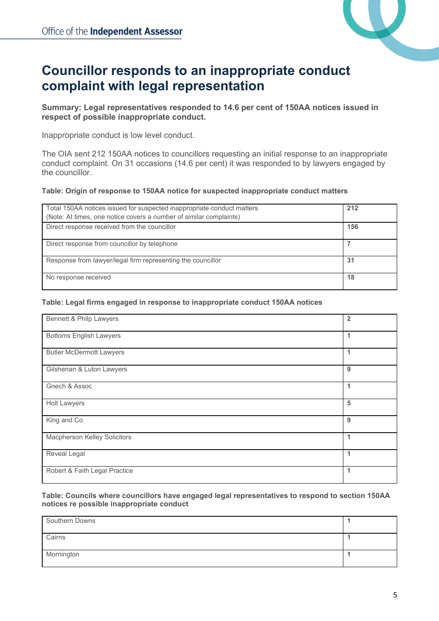

# <span id="page-5-0"></span>**Councillor responds to an inappropriate conduct complaint with legal representation**

#### **Summary: Legal representatives responded to 14.6 per cent of 150AA notices issued in respect of possible inappropriate conduct.**

Inappropriate conduct is low level conduct.

The OIA sent 212 150AA notices to councillors requesting an initial response to an inappropriate conduct complaint. On 31 occasions (14.6 per cent) it was responded to by lawyers engaged by the councillor.

#### **Table: Origin of response to 150AA notice for suspected inappropriate conduct matters**

| Total 150AA notices issued for suspected inappropriate conduct matters | 212 |
|------------------------------------------------------------------------|-----|
| (Note: At times, one notice covers a number of similar complaints)     |     |
| Direct response received from the councillor                           | 156 |
| Direct response from councillor by telephone                           |     |
| Response from lawyer/legal firm representing the councillor            | 31  |
| No response received                                                   | 18  |

#### **Table: Legal firms engaged in response to inappropriate conduct 150AA notices**

| Bennett & Philp Lawyers             | $\overline{2}$ |
|-------------------------------------|----------------|
| <b>Bottoms English Lawyers</b>      | 1              |
| <b>Butler McDermott Lawyers</b>     | 1              |
| Gilshenan & Luton Lawyers           | 9              |
| Gnech & Assoc                       | 1              |
| <b>Holt Lawyers</b>                 | 5              |
| King and Co                         | 9              |
| <b>Macpherson Kelley Solicitors</b> | 1              |
| Reveal Legal                        | 1              |
| Robert & Faith Legal Practice       | 1              |

**Table: Councils where councillors have engaged legal representatives to respond to section 150AA notices re possible inappropriate conduct**

| Southern Downs |  |
|----------------|--|
| Cairns         |  |
| Mornington     |  |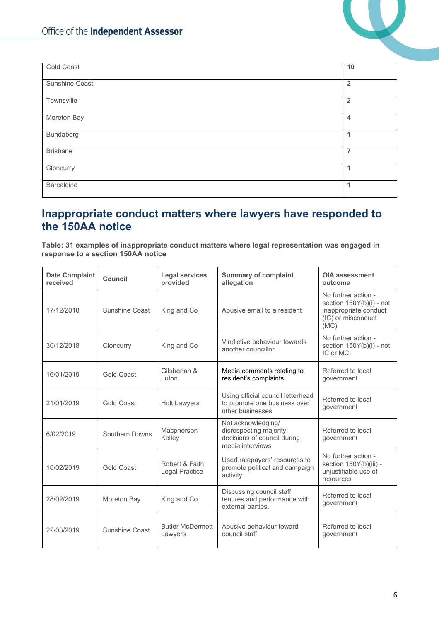

| <b>Gold Coast</b> | 10                   |
|-------------------|----------------------|
| Sunshine Coast    | $\overline{2}$       |
| Townsville        | $\overline{2}$       |
| Moreton Bay       | $\overline{4}$       |
| Bundaberg         | $\blacktriangleleft$ |
| <b>Brisbane</b>   | $\overline{7}$       |
| Cloncurry         | -1                   |
| <b>Barcaldine</b> | $\blacktriangleleft$ |

## <span id="page-6-0"></span>**Inappropriate conduct matters where lawyers have responded to the 150AA notice**

**Table: 31 examples of inappropriate conduct matters where legal representation was engaged in response to a section 150AA notice**

| <b>Date Complaint</b><br>received | Council               | <b>Legal services</b><br><b>Summary of complaint</b><br>allegation<br>provided |                                                                                                 | <b>OIA assessment</b><br>outcome                                                                       |
|-----------------------------------|-----------------------|--------------------------------------------------------------------------------|-------------------------------------------------------------------------------------------------|--------------------------------------------------------------------------------------------------------|
| 17/12/2018                        | Sunshine Coast        | King and Co                                                                    | Abusive email to a resident                                                                     | No further action -<br>section 150Y(b)(i) - not<br>inappropriate conduct<br>(IC) or misconduct<br>(MC) |
| 30/12/2018                        | Cloncurry             | King and Co                                                                    | Vindictive behaviour towards<br>another councillor                                              | No further action -<br>section 150Y(b)(i) - not<br>IC or MC                                            |
| 16/01/2019                        | <b>Gold Coast</b>     | Gilshenan &<br>I uton                                                          | Media comments relating to<br>resident's complaints                                             | Referred to local<br>government                                                                        |
| 21/01/2019                        | <b>Gold Coast</b>     | <b>Holt Lawyers</b>                                                            | Using official council letterhead<br>to promote one business over<br>other businesses           | Referred to local<br>government                                                                        |
| 6/02/2019                         | <b>Southern Downs</b> | Macpherson<br>Kelley                                                           | Not acknowledging/<br>disrespecting majority<br>decisions of council during<br>media interviews | Referred to local<br>government                                                                        |
| 10/02/2019                        | <b>Gold Coast</b>     | Robert & Faith<br>Legal Practice                                               | Used ratepayers' resources to<br>promote political and campaign<br>activity                     | No further action -<br>section 150Y(b)(iii) -<br>unjustifiable use of<br>resources                     |
| 28/02/2019                        | Moreton Bay           | King and Co                                                                    | Discussing council staff<br>tenures and performance with<br>external parties.                   | Referred to local<br>government                                                                        |
| 22/03/2019                        | Sunshine Coast        | <b>Butler McDermott</b><br>Lawyers                                             | Abusive behaviour toward<br>council staff                                                       | Referred to local<br>government                                                                        |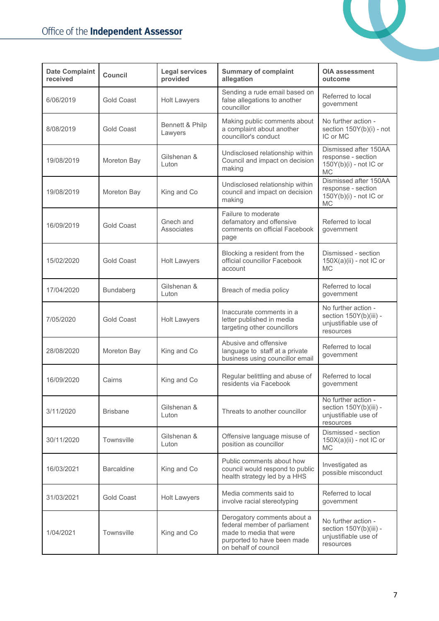

| <b>Date Complaint</b><br>received | <b>Legal services</b><br><b>Summary of complaint</b><br>Council<br>provided<br>allegation |                            | OIA assessment<br>outcome                                                                                                                     |                                                                                      |
|-----------------------------------|-------------------------------------------------------------------------------------------|----------------------------|-----------------------------------------------------------------------------------------------------------------------------------------------|--------------------------------------------------------------------------------------|
| 6/06/2019                         | <b>Gold Coast</b>                                                                         | <b>Holt Lawyers</b>        | Sending a rude email based on<br>false allegations to another<br>councillor                                                                   | Referred to local<br>government                                                      |
| 8/08/2019                         | <b>Gold Coast</b>                                                                         | Bennett & Philp<br>Lawyers | Making public comments about<br>a complaint about another<br>councillor's conduct                                                             | No further action -<br>section 150Y(b)(i) - not<br>IC or MC                          |
| 19/08/2019                        | Moreton Bay                                                                               | Gilshenan &<br>Luton       | Undisclosed relationship within<br>Council and impact on decision<br>making                                                                   | Dismissed after 150AA<br>response - section<br>$150Y(b)(i)$ - not IC or<br><b>MC</b> |
| 19/08/2019                        | Moreton Bay                                                                               | King and Co                | Undisclosed relationship within<br>council and impact on decision<br>making                                                                   | Dismissed after 150AA<br>response - section<br>150Y(b)(i) - not IC or<br><b>MC</b>   |
| 16/09/2019                        | <b>Gold Coast</b>                                                                         | Gnech and<br>Associates    | Failure to moderate<br>defamatory and offensive<br>comments on official Facebook<br>page                                                      | Referred to local<br>government                                                      |
| 15/02/2020                        | <b>Gold Coast</b>                                                                         | <b>Holt Lawyers</b>        | Blocking a resident from the<br>official councillor Facebook<br>account                                                                       | Dismissed - section<br>$150X(a)(ii)$ - not IC or<br><b>MC</b>                        |
| 17/04/2020                        | Bundaberg                                                                                 | Gilshenan &<br>Luton       | Breach of media policy                                                                                                                        | Referred to local<br>government                                                      |
| 7/05/2020                         | <b>Gold Coast</b>                                                                         | <b>Holt Lawyers</b>        | Inaccurate comments in a<br>letter published in media<br>targeting other councillors                                                          | No further action -<br>section 150Y(b)(iii) -<br>unjustifiable use of<br>resources   |
| 28/08/2020                        | Moreton Bay                                                                               | King and Co                | Abusive and offensive<br>language to staff at a private<br>business using councillor email                                                    | Referred to local<br>government                                                      |
| 16/09/2020                        | Cairns                                                                                    | King and Co                | Regular belittling and abuse of<br>residents via Facebook                                                                                     | Referred to local<br>government                                                      |
| 3/11/2020                         | <b>Brisbane</b>                                                                           | Gilshenan &<br>Luton       | Threats to another councillor                                                                                                                 | No further action -<br>section 150Y(b)(iii) -<br>unjustifiable use of<br>resources   |
| 30/11/2020                        | Townsville                                                                                | Gilshenan &<br>Luton       | Offensive language misuse of<br>position as councillor                                                                                        | Dismissed - section<br>$150X(a)(ii)$ - not IC or<br><b>MC</b>                        |
| 16/03/2021                        | <b>Barcaldine</b>                                                                         | King and Co                | Public comments about how<br>council would respond to public<br>health strategy led by a HHS                                                  | Investigated as<br>possible misconduct                                               |
| 31/03/2021                        | <b>Gold Coast</b>                                                                         | <b>Holt Lawyers</b>        | Media comments said to<br>involve racial stereotyping                                                                                         | Referred to local<br>government                                                      |
| 1/04/2021                         | Townsville                                                                                | King and Co                | Derogatory comments about a<br>federal member of parliament<br>made to media that were<br>purported to have been made<br>on behalf of council | No further action -<br>section 150Y(b)(iii) -<br>unjustifiable use of<br>resources   |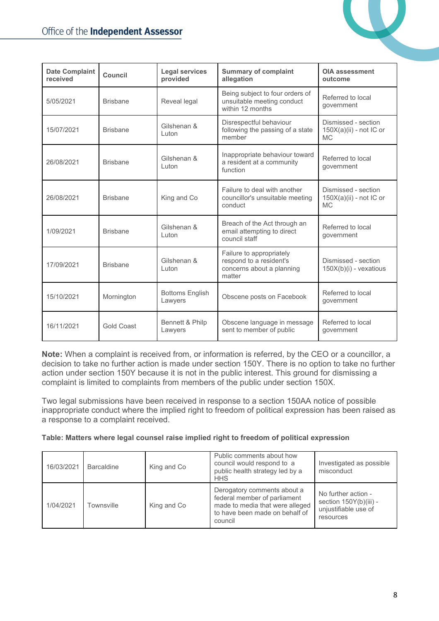

| <b>Date Complaint</b><br>received | Council           | <b>Legal services</b><br><b>Summary of complaint</b><br>provided<br>allegation |                                                                                            | <b>OIA assessment</b><br>outcome                            |
|-----------------------------------|-------------------|--------------------------------------------------------------------------------|--------------------------------------------------------------------------------------------|-------------------------------------------------------------|
| 5/05/2021                         | <b>Brisbane</b>   | Reveal legal                                                                   | Being subject to four orders of<br>unsuitable meeting conduct<br>within 12 months          | Referred to local<br>government                             |
| 15/07/2021                        | <b>Brisbane</b>   | Gilshenan &<br>Luton                                                           | Disrespectful behaviour<br>following the passing of a state<br>member                      | Dismissed - section<br>$150X(a)(ii)$ - not IC or<br>MC.     |
| 26/08/2021                        | <b>Brisbane</b>   | Gilshenan &<br>Luton                                                           | Inappropriate behaviour toward<br>a resident at a community<br>function                    | Referred to local<br>government                             |
| 26/08/2021                        | <b>Brisbane</b>   | King and Co                                                                    | Failure to deal with another<br>councillor's unsuitable meeting<br>conduct                 | Dismissed - section<br>150X(a)(ii) - not IC or<br><b>MC</b> |
| 1/09/2021                         | <b>Brisbane</b>   | Gilshenan &<br>I uton                                                          | Breach of the Act through an<br>email attempting to direct<br>council staff                | Referred to local<br>government                             |
| 17/09/2021                        | <b>Brisbane</b>   | Gilshenan &<br>I uton                                                          | Failure to appropriately<br>respond to a resident's<br>concerns about a planning<br>matter | Dismissed - section<br>150X(b)(i) - vexatious               |
| 15/10/2021                        | Mornington        | <b>Bottoms English</b><br>Lawyers                                              | Obscene posts on Facebook                                                                  | Referred to local<br>government                             |
| 16/11/2021                        | <b>Gold Coast</b> | Bennett & Philp<br>Lawyers                                                     | Obscene language in message<br>sent to member of public                                    | Referred to local<br>government                             |

**Note:** When a complaint is received from, or information is referred, by the CEO or a councillor, a decision to take no further action is made under section 150Y. There is no option to take no further action under section 150Y because it is not in the public interest. This ground for dismissing a complaint is limited to complaints from members of the public under section 150X.

Two legal submissions have been received in response to a section 150AA notice of possible inappropriate conduct where the implied right to freedom of political expression has been raised as a response to a complaint received.

**Table: Matters where legal counsel raise implied right to freedom of political expression**

| 16/03/2021 | <b>Barcaldine</b> | King and Co | Public comments about how<br>council would respond to a<br>public health strategy led by a<br><b>HHS</b>                                    | Investigated as possible<br>misconduct                                             |
|------------|-------------------|-------------|---------------------------------------------------------------------------------------------------------------------------------------------|------------------------------------------------------------------------------------|
| 1/04/2021  | Townsville        | King and Co | Derogatory comments about a<br>federal member of parliament<br>made to media that were alleged<br>to have been made on behalf of<br>council | No further action -<br>section 150Y(b)(iii) -<br>unjustifiable use of<br>resources |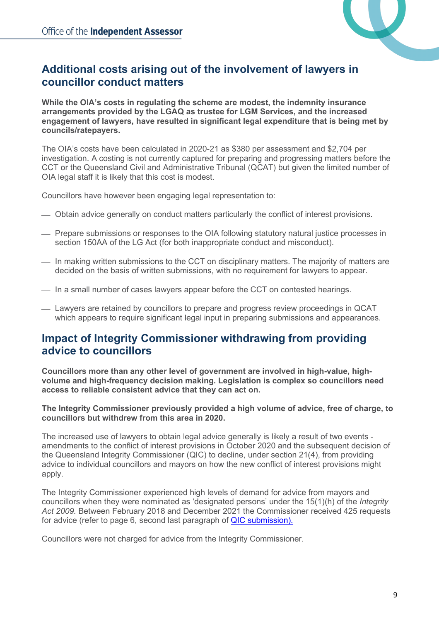

## <span id="page-9-0"></span>**Additional costs arising out of the involvement of lawyers in councillor conduct matters**

**While the OIA's costs in regulating the scheme are modest, the indemnity insurance arrangements provided by the LGAQ as trustee for LGM Services, and the increased engagement of lawyers, have resulted in significant legal expenditure that is being met by councils/ratepayers.**

The OIA's costs have been calculated in 2020-21 as \$380 per assessment and \$2,704 per investigation. A costing is not currently captured for preparing and progressing matters before the CCT or the Queensland Civil and Administrative Tribunal (QCAT) but given the limited number of OIA legal staff it is likely that this cost is modest.

Councillors have however been engaging legal representation to:

- Obtain advice generally on conduct matters particularly the conflict of interest provisions.
- Prepare submissions or responses to the OIA following statutory natural justice processes in section 150AA of the LG Act (for both inappropriate conduct and misconduct).
- In making written submissions to the CCT on disciplinary matters. The majority of matters are decided on the basis of written submissions, with no requirement for lawyers to appear.
- $\equiv$  In a small number of cases lawyers appear before the CCT on contested hearings.
- Lawyers are retained by councillors to prepare and progress review proceedings in QCAT which appears to require significant legal input in preparing submissions and appearances.

## <span id="page-9-1"></span>**Impact of Integrity Commissioner withdrawing from providing advice to councillors**

**Councillors more than any other level of government are involved in high-value, highvolume and high-frequency decision making. Legislation is complex so councillors need access to reliable consistent advice that they can act on.** 

**The Integrity Commissioner previously provided a high volume of advice, free of charge, to councillors but withdrew from this area in 2020.**

The increased use of lawyers to obtain legal advice generally is likely a result of two events amendments to the conflict of interest provisions in October 2020 and the subsequent decision of the Queensland Integrity Commissioner (QIC) to decline, under section 21(4), from providing advice to individual councillors and mayors on how the new conflict of interest provisions might apply.

The Integrity Commissioner experienced high levels of demand for advice from mayors and councillors when they were nominated as 'designated persons' under the 15(1)(h) of the *Integrity Act 2009.* Between February 2018 and December 2021 the Commissioner received 425 requests for advice (refer to page 6, second last paragraph of [QIC submission\)](https://documents.parliament.qld.gov.au/com/SDRIC-F506/IIA-9981/submissions/00000039.pdf).

Councillors were not charged for advice from the Integrity Commissioner.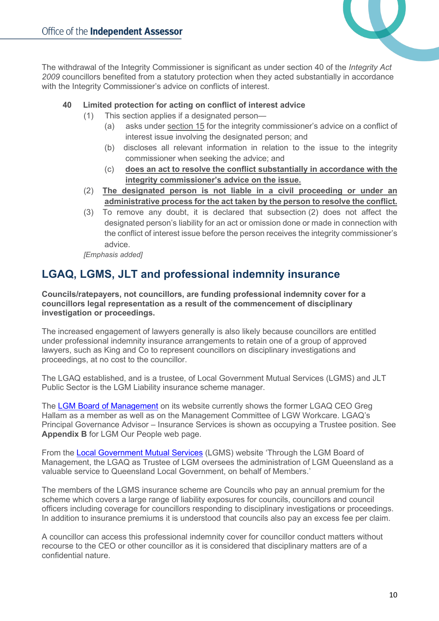

The withdrawal of the Integrity Commissioner is significant as under section 40 of the *Integrity Act 2009* councillors benefited from a statutory protection when they acted substantially in accordance with the Integrity Commissioner's advice on conflicts of interest.

### **40 Limited protection for acting on conflict of interest advice**

(1) This section applies if a designated person—

- (a) asks under [section](https://www.legislation.qld.gov.au/view/html/inforce/current/act-2009-052#sec.15) 15 for the integrity commissioner's advice on a conflict of interest issue involving the designated person; and
- (b) discloses all relevant information in relation to the issue to the integrity commissioner when seeking the advice; and
- (c) **does an act to resolve the conflict substantially in accordance with the integrity commissioner's advice on the issue.**
- (2) **The designated person is not liable in a civil proceeding or under an administrative process for the act taken by the person to resolve the conflict.**
- (3) To remove any doubt, it is declared that subsection (2) does not affect the designated person's liability for an act or omission done or made in connection with the conflict of interest issue before the person receives the integrity commissioner's advice.

*[Emphasis added]*

## <span id="page-10-0"></span>**LGAQ, LGMS, JLT and professional indemnity insurance**

**Councils/ratepayers, not councillors, are funding professional indemnity cover for a councillors legal representation as a result of the commencement of disciplinary investigation or proceedings.** 

The increased engagement of lawyers generally is also likely because councillors are entitled under professional indemnity insurance arrangements to retain one of a group of approved lawyers, such as King and Co to represent councillors on disciplinary investigations and proceedings, at no cost to the councillor.

The LGAQ established, and is a trustee, of Local Government Mutual Services (LGMS) and JLT Public Sector is the LGM Liability insurance scheme manager.

The [LGM Board of Management](https://www.lgms.net.au/people) on its website currently shows the former LGAQ CEO Greg Hallam as a member as well as on the Management Committee of LGW Workcare. LGAQ's Principal Governance Advisor – Insurance Services is shown as occupying a Trustee position. See **Appendix B** for LGM Our People web page.

From the [Local Government Mutual Services](https://lgms.jlta.com.au/pages/public/LGML_Public) (LGMS) website 'Through the LGM Board of Management, the LGAQ as Trustee of LGM oversees the administration of LGM Queensland as a valuable service to Queensland Local Government, on behalf of Members.'

The members of the LGMS insurance scheme are Councils who pay an annual premium for the scheme which covers a large range of liability exposures for councils, councillors and council officers including coverage for councillors responding to disciplinary investigations or proceedings. In addition to insurance premiums it is understood that councils also pay an excess fee per claim.

A councillor can access this professional indemnity cover for councillor conduct matters without recourse to the CEO or other councillor as it is considered that disciplinary matters are of a confidential nature.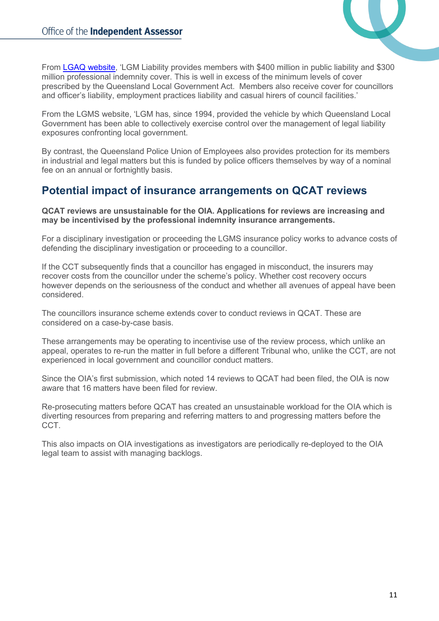

From [LGAQ website,](https://welcome.lgaq.asn.au/about/insurance-services) 'LGM Liability provides members with \$400 million in public liability and \$300 million professional indemnity cover. This is well in excess of the minimum levels of cover prescribed by the Queensland Local Government Act. Members also receive cover for councillors and officer's liability, employment practices liability and casual hirers of council facilities.'

From the LGMS website, 'LGM has, since 1994, provided the vehicle by which Queensland Local Government has been able to collectively exercise control over the management of legal liability exposures confronting local government.

By contrast, the Queensland Police Union of Employees also provides protection for its members in industrial and legal matters but this is funded by police officers themselves by way of a nominal fee on an annual or fortnightly basis.

## <span id="page-11-0"></span>**Potential impact of insurance arrangements on QCAT reviews**

#### **QCAT reviews are unsustainable for the OIA. Applications for reviews are increasing and may be incentivised by the professional indemnity insurance arrangements.**

For a disciplinary investigation or proceeding the LGMS insurance policy works to advance costs of defending the disciplinary investigation or proceeding to a councillor.

If the CCT subsequently finds that a councillor has engaged in misconduct, the insurers may recover costs from the councillor under the scheme's policy. Whether cost recovery occurs however depends on the seriousness of the conduct and whether all avenues of appeal have been considered.

The councillors insurance scheme extends cover to conduct reviews in QCAT. These are considered on a case-by-case basis.

These arrangements may be operating to incentivise use of the review process, which unlike an appeal, operates to re-run the matter in full before a different Tribunal who, unlike the CCT, are not experienced in local government and councillor conduct matters.

Since the OIA's first submission, which noted 14 reviews to QCAT had been filed, the OIA is now aware that 16 matters have been filed for review.

Re-prosecuting matters before QCAT has created an unsustainable workload for the OIA which is diverting resources from preparing and referring matters to and progressing matters before the CCT.

This also impacts on OIA investigations as investigators are periodically re-deployed to the OIA legal team to assist with managing backlogs.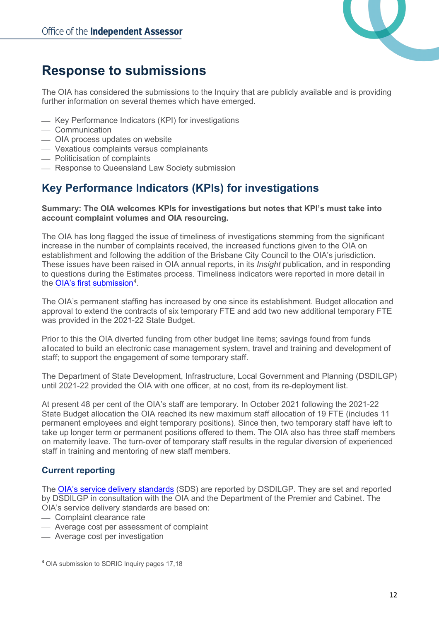

# <span id="page-12-0"></span>**Response to submissions**

The OIA has considered the submissions to the Inquiry that are publicly available and is providing further information on several themes which have emerged.

- Key Performance Indicators (KPI) for investigations
- Communication
- OIA process updates on website
- Vexatious complaints versus complainants
- Politicisation of complaints
- Response to Queensland Law Society submission

## <span id="page-12-1"></span>**Key Performance Indicators (KPIs) for investigations**

#### **Summary: The OIA welcomes KPIs for investigations but notes that KPI's must take into account complaint volumes and OIA resourcing.**

The OIA has long flagged the issue of timeliness of investigations stemming from the significant increase in the number of complaints received, the increased functions given to the OIA on establishment and following the addition of the Brisbane City Council to the OIA's jurisdiction. These issues have been raised in OIA annual reports, in its *Insight* publication, and in responding to questions during the Estimates process. Timeliness indicators were reported in more detail in the <u>OIA's first submission</u><sup>[4](#page-12-3)</sup>.

The OIA's permanent staffing has increased by one since its establishment. Budget allocation and approval to extend the contracts of six temporary FTE and add two new additional temporary FTE was provided in the 2021-22 State Budget.

Prior to this the OIA diverted funding from other budget line items; savings found from funds allocated to build an electronic case management system, travel and training and development of staff; to support the engagement of some temporary staff.

The Department of State Development, Infrastructure, Local Government and Planning (DSDILGP) until 2021-22 provided the OIA with one officer, at no cost, from its re-deployment list.

At present 48 per cent of the OIA's staff are temporary. In October 2021 following the 2021-22 State Budget allocation the OIA reached its new maximum staff allocation of 19 FTE (includes 11 permanent employees and eight temporary positions). Since then, two temporary staff have left to take up longer term or permanent positions offered to them. The OIA also has three staff members on maternity leave. The turn-over of temporary staff results in the regular diversion of experienced staff in training and mentoring of new staff members.

## <span id="page-12-2"></span>**Current reporting**

The **OIA's service delivery standards** (SDS) are reported by DSDILGP. They are set and reported by DSDILGP in consultation with the OIA and the Department of the Premier and Cabinet. The OIA's service delivery standards are based on:

- Complaint clearance rate
- Average cost per assessment of complaint
- Average cost per investigation

<span id="page-12-3"></span><sup>4</sup> OIA submission to SDRIC Inquiry pages 17,18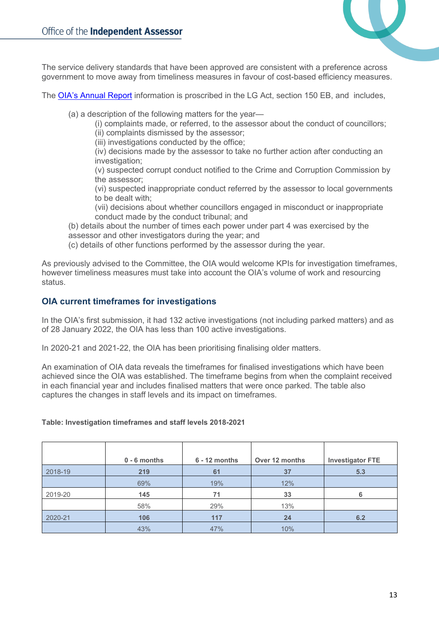

The service delivery standards that have been approved are consistent with a preference across government to move away from timeliness measures in favour of cost-based efficiency measures.

The [OIA's Annual Report](https://www.oia.qld.gov.au/about-us/corporate-information) information is proscribed in the LG Act, section 150 EB, and includes,

(a) a description of the following matters for the year—

- (i) complaints made, or referred, to the assessor about the conduct of councillors;
- (ii) complaints dismissed by the assessor; (iii) investigations conducted by the office;
- (iv) decisions made by the assessor to take no further action after conducting an investigation;
- (v) suspected corrupt conduct notified to the Crime and Corruption Commission by the assessor;
- (vi) suspected inappropriate conduct referred by the assessor to local governments to be dealt with;
- (vii) decisions about whether councillors engaged in misconduct or inappropriate conduct made by the conduct tribunal; and
- (b) details about the number of times each power under part 4 was exercised by the assessor and other investigators during the year; and
- (c) details of other functions performed by the assessor during the year.

As previously advised to the Committee, the OIA would welcome KPIs for investigation timeframes, however timeliness measures must take into account the OIA's volume of work and resourcing status.

### <span id="page-13-0"></span>**OIA current timeframes for investigations**

In the OIA's first submission, it had 132 active investigations (not including parked matters) and as of 28 January 2022, the OIA has less than 100 active investigations.

In 2020-21 and 2021-22, the OIA has been prioritising finalising older matters.

An examination of OIA data reveals the timeframes for finalised investigations which have been achieved since the OIA was established. The timeframe begins from when the complaint received in each financial year and includes finalised matters that were once parked. The table also captures the changes in staff levels and its impact on timeframes.

#### **Table: Investigation timeframes and staff levels 2018-2021**

|         | $0 - 6$ months | $6 - 12$ months | Over 12 months | <b>Investigator FTE</b> |
|---------|----------------|-----------------|----------------|-------------------------|
| 2018-19 | 219            | 61              | 37             | 5.3                     |
|         | 69%            | 19%             | 12%            |                         |
| 2019-20 | 145            | 71              | 33             |                         |
|         | 58%            | 29%             | 13%            |                         |
| 2020-21 | 106            | 117             | 24             | 6.2                     |
|         | 43%            | 47%             | 10%            |                         |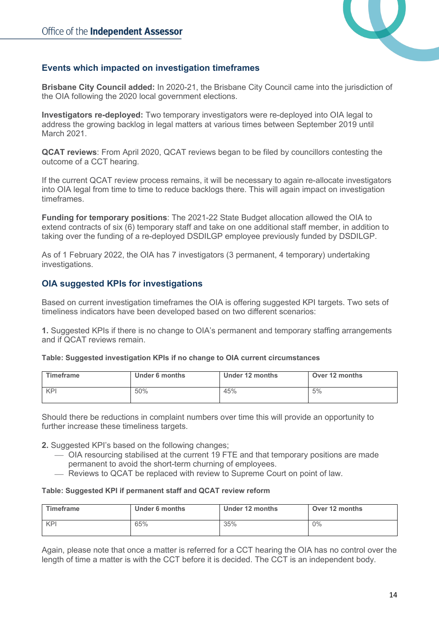

## <span id="page-14-0"></span>**Events which impacted on investigation timeframes**

**Brisbane City Council added:** In 2020-21, the Brisbane City Council came into the jurisdiction of the OIA following the 2020 local government elections.

**Investigators re-deployed:** Two temporary investigators were re-deployed into OIA legal to address the growing backlog in legal matters at various times between September 2019 until March 2021.

**QCAT reviews**: From April 2020, QCAT reviews began to be filed by councillors contesting the outcome of a CCT hearing.

If the current QCAT review process remains, it will be necessary to again re-allocate investigators into OIA legal from time to time to reduce backlogs there. This will again impact on investigation timeframes.

**Funding for temporary positions**: The 2021-22 State Budget allocation allowed the OIA to extend contracts of six (6) temporary staff and take on one additional staff member, in addition to taking over the funding of a re-deployed DSDILGP employee previously funded by DSDILGP.

As of 1 February 2022, the OIA has 7 investigators (3 permanent, 4 temporary) undertaking investigations.

## <span id="page-14-1"></span>**OIA suggested KPIs for investigations**

Based on current investigation timeframes the OIA is offering suggested KPI targets. Two sets of timeliness indicators have been developed based on two different scenarios:

**1.** Suggested KPIs if there is no change to OIA's permanent and temporary staffing arrangements and if QCAT reviews remain.

|  |  | Table: Suggested investigation KPIs if no change to OIA current circumstances |
|--|--|-------------------------------------------------------------------------------|
|  |  |                                                                               |

| Timeframe | Under 6 months | Under 12 months | Over 12 months |
|-----------|----------------|-----------------|----------------|
| KPI       | 50%            | 45%             | 5%             |

Should there be reductions in complaint numbers over time this will provide an opportunity to further increase these timeliness targets.

- **2.** Suggested KPI's based on the following changes;
	- OIA resourcing stabilised at the current 19 FTE and that temporary positions are made permanent to avoid the short-term churning of employees.
	- Reviews to QCAT be replaced with review to Supreme Court on point of law.

#### **Table: Suggested KPI if permanent staff and QCAT review reform**

| Timeframe | <b>Under 6 months</b> | Under 12 months | Over 12 months |
|-----------|-----------------------|-----------------|----------------|
| KPI       | 65%                   | 35%             | $0\%$          |

Again, please note that once a matter is referred for a CCT hearing the OIA has no control over the length of time a matter is with the CCT before it is decided. The CCT is an independent body.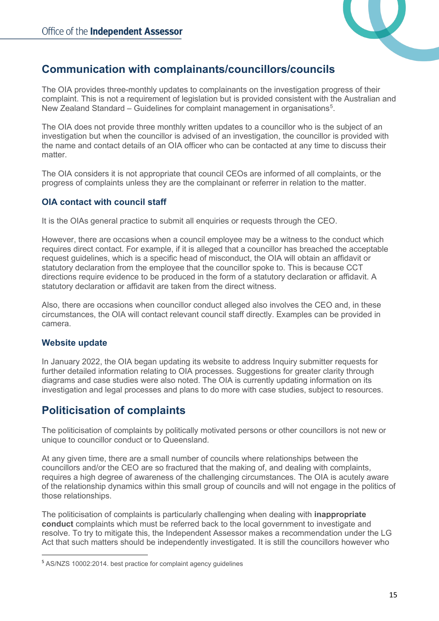

## <span id="page-15-0"></span>**Communication with complainants/councillors/councils**

The OIA provides three-monthly updates to complainants on the investigation progress of their complaint. This is not a requirement of legislation but is provided consistent with the Australian and New Zealand Standard – Guidelines for complaint management in organisations $^5\!$  $^5\!$  $^5\!$ 

The OIA does not provide three monthly written updates to a councillor who is the subject of an investigation but when the councillor is advised of an investigation, the councillor is provided with the name and contact details of an OIA officer who can be contacted at any time to discuss their matter.

The OIA considers it is not appropriate that council CEOs are informed of all complaints, or the progress of complaints unless they are the complainant or referrer in relation to the matter.

## <span id="page-15-1"></span>**OIA contact with council staff**

It is the OIAs general practice to submit all enquiries or requests through the CEO.

However, there are occasions when a council employee may be a witness to the conduct which requires direct contact. For example, if it is alleged that a councillor has breached the acceptable request guidelines, which is a specific head of misconduct, the OIA will obtain an affidavit or statutory declaration from the employee that the councillor spoke to. This is because CCT directions require evidence to be produced in the form of a statutory declaration or affidavit. A statutory declaration or affidavit are taken from the direct witness.

Also, there are occasions when councillor conduct alleged also involves the CEO and, in these circumstances, the OIA will contact relevant council staff directly. Examples can be provided in camera.

## <span id="page-15-2"></span>**Website update**

In January 2022, the OIA began updating its website to address Inquiry submitter requests for further detailed information relating to OIA processes. Suggestions for greater clarity through diagrams and case studies were also noted. The OIA is currently updating information on its investigation and legal processes and plans to do more with case studies, subject to resources.

## <span id="page-15-3"></span>**Politicisation of complaints**

The politicisation of complaints by politically motivated persons or other councillors is not new or unique to councillor conduct or to Queensland.

At any given time, there are a small number of councils where relationships between the councillors and/or the CEO are so fractured that the making of, and dealing with complaints, requires a high degree of awareness of the challenging circumstances. The OIA is acutely aware of the relationship dynamics within this small group of councils and will not engage in the politics of those relationships.

The politicisation of complaints is particularly challenging when dealing with **inappropriate conduct** complaints which must be referred back to the local government to investigate and resolve. To try to mitigate this, the Independent Assessor makes a recommendation under the LG Act that such matters should be independently investigated. It is still the councillors however who

<span id="page-15-4"></span><sup>5</sup> AS/NZS 10002:2014. best practice for complaint agency guidelines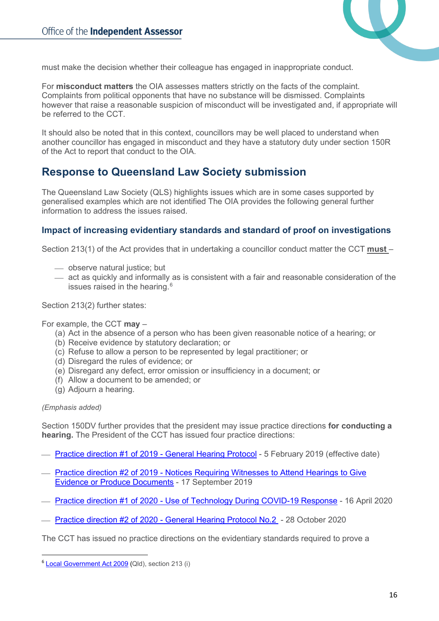

must make the decision whether their colleague has engaged in inappropriate conduct.

For **misconduct matters** the OIA assesses matters strictly on the facts of the complaint. Complaints from political opponents that have no substance will be dismissed. Complaints however that raise a reasonable suspicion of misconduct will be investigated and, if appropriate will be referred to the CCT.

It should also be noted that in this context, councillors may be well placed to understand when another councillor has engaged in misconduct and they have a statutory duty under section 150R of the Act to report that conduct to the OIA.

## <span id="page-16-0"></span>**Response to Queensland Law Society submission**

The Queensland Law Society (QLS) highlights issues which are in some cases supported by generalised examples which are not identified The OIA provides the following general further information to address the issues raised.

### <span id="page-16-1"></span>**Impact of increasing evidentiary standards and standard of proof on investigations**

Section 213(1) of the Act provides that in undertaking a councillor conduct matter the CCT **must** –

- observe natural justice; but
- $-$  act as quickly and informally as is consistent with a fair and reasonable consideration of the issues raised in the hearing. $^6$  $^6$

Section 213(2) further states:

For example, the CCT **may** –

- (a) Act in the absence of a person who has been given reasonable notice of a hearing; or
- (b) Receive evidence by statutory declaration; or
- (c) Refuse to allow a person to be represented by legal practitioner; or
- (d) Disregard the rules of evidence; or
- (e) Disregard any defect, error omission or insufficiency in a document; or
- (f) Allow a document to be amended; or
- (g) Adjourn a hearing.

#### *(Emphasis added)*

Section 150DV further provides that the president may issue practice directions **for conducting a hearing.** The President of the CCT has issued four practice directions:

- [Practice direction #1 of 2019 -](https://www.statedevelopment.qld.gov.au/__data/assets/pdf_file/0014/44330/practice-direction-1-general-hearing-protocol.pdf) General Hearing Protocol 5 February 2019 (effective date)
- Practice direction #2 of 2019 [Notices Requiring Witnesses to Attend Hearings to Give](https://www.statedevelopment.qld.gov.au/__data/assets/pdf_file/0025/46267/practice-direction-2-notices-requiring-witnesses-to-attend-hearings-to-give-evidence-and-produce-documents.pdf)  [Evidence or Produce Documents](https://www.statedevelopment.qld.gov.au/__data/assets/pdf_file/0025/46267/practice-direction-2-notices-requiring-witnesses-to-attend-hearings-to-give-evidence-and-produce-documents.pdf) - 17 September 2019
- Practice direction #1 of 2020 [Use of Technology During COVID-19 Response](https://www.statedevelopment.qld.gov.au/__data/assets/pdf_file/0020/44822/practice-direction-1-use-of-technology-during-covid-19.pdf) 16 April 2020
- Practice direction #2 of 2020 [General Hearing Protocol No.2](https://www.statedevelopment.qld.gov.au/__data/assets/pdf_file/0021/44850/practice-direction-2-general-hearing-protocol.pdf)  28 October 2020

The CCT has issued no practice directions on the evidentiary standards required to prove a

<span id="page-16-2"></span><sup>6</sup> [Local Government Act 2009](https://www.legislation.qld.gov.au/view/pdf/inforce/current/act-2009-017) (Qld), section 213 (i)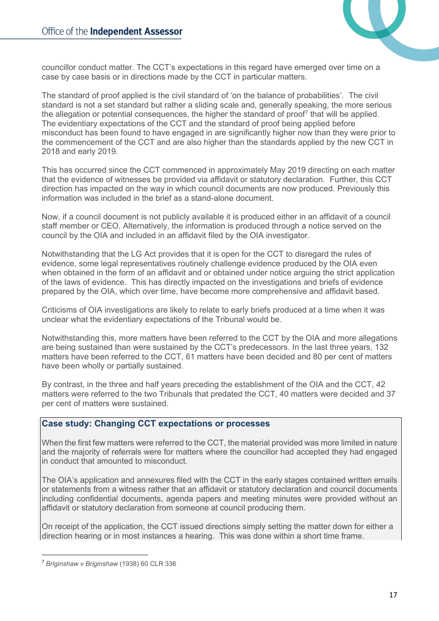

councillor conduct matter. The CCT's expectations in this regard have emerged over time on a case by case basis or in directions made by the CCT in particular matters.

The standard of proof applied is the civil standard of 'on the balance of probabilities'. The civil standard is not a set standard but rather a sliding scale and, generally speaking, the more serious the allegation or potential consequences, the higher the standard of proof<sup>[7](#page-17-1)</sup> that will be applied. The evidentiary expectations of the CCT and the standard of proof being applied before misconduct has been found to have engaged in are significantly higher now than they were prior to the commencement of the CCT and are also higher than the standards applied by the new CCT in 2018 and early 2019.

This has occurred since the CCT commenced in approximately May 2019 directing on each matter that the evidence of witnesses be provided via affidavit or statutory declaration. Further, this CCT direction has impacted on the way in which council documents are now produced. Previously this information was included in the brief as a stand-alone document.

Now, if a council document is not publicly available it is produced either in an affidavit of a council staff member or CEO. Alternatively, the information is produced through a notice served on the council by the OIA and included in an affidavit filed by the OIA investigator.

Notwithstanding that the LG Act provides that it is open for the CCT to disregard the rules of evidence, some legal representatives routinely challenge evidence produced by the OIA even when obtained in the form of an affidavit and or obtained under notice arguing the strict application of the laws of evidence. This has directly impacted on the investigations and briefs of evidence prepared by the OIA, which over time, have become more comprehensive and affidavit based.

Criticisms of OIA investigations are likely to relate to early briefs produced at a time when it was unclear what the evidentiary expectations of the Tribunal would be.

Notwithstanding this, more matters have been referred to the CCT by the OIA and more allegations are being sustained than were sustained by the CCT's predecessors. In the last three years, 132 matters have been referred to the CCT, 61 matters have been decided and 80 per cent of matters have been wholly or partially sustained.

By contrast, in the three and half years preceding the establishment of the OIA and the CCT, 42 matters were referred to the two Tribunals that predated the CCT, 40 matters were decided and 37 per cent of matters were sustained.

### <span id="page-17-0"></span>**Case study: Changing CCT expectations or processes**

When the first few matters were referred to the CCT, the material provided was more limited in nature and the majority of referrals were for matters where the councillor had accepted they had engaged in conduct that amounted to misconduct.

The OIA's application and annexures filed with the CCT in the early stages contained written emails or statements from a witness rather that an affidavit or statutory declaration and council documents including confidential documents, agenda papers and meeting minutes were provided without an affidavit or statutory declaration from someone at council producing them.

On receipt of the application, the CCT issued directions simply setting the matter down for either a direction hearing or in most instances a hearing. This was done within a short time frame.

<span id="page-17-1"></span><sup>7</sup> *Briginshaw v Briginshaw* (1938) 60 CLR 336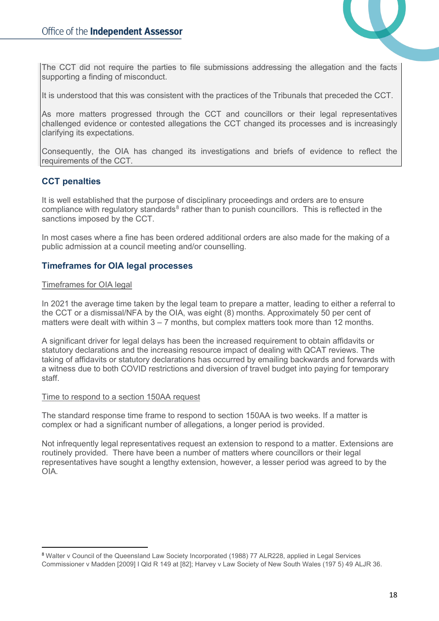

The CCT did not require the parties to file submissions addressing the allegation and the facts supporting a finding of misconduct.

It is understood that this was consistent with the practices of the Tribunals that preceded the CCT.

As more matters progressed through the CCT and councillors or their legal representatives challenged evidence or contested allegations the CCT changed its processes and is increasingly clarifying its expectations.

Consequently, the OIA has changed its investigations and briefs of evidence to reflect the requirements of the CCT.

### <span id="page-18-0"></span>**CCT penalties**

It is well established that the purpose of disciplinary proceedings and orders are to ensure compliance with regulatory standards<sup>[8](#page-18-2)</sup> rather than to punish councillors. This is reflected in the sanctions imposed by the CCT.

In most cases where a fine has been ordered additional orders are also made for the making of a public admission at a council meeting and/or counselling.

### <span id="page-18-1"></span>**Timeframes for OIA legal processes**

#### Timeframes for OIA legal

In 2021 the average time taken by the legal team to prepare a matter, leading to either a referral to the CCT or a dismissal/NFA by the OIA, was eight (8) months. Approximately 50 per cent of matters were dealt with within 3 – 7 months, but complex matters took more than 12 months.

A significant driver for legal delays has been the increased requirement to obtain affidavits or statutory declarations and the increasing resource impact of dealing with QCAT reviews. The taking of affidavits or statutory declarations has occurred by emailing backwards and forwards with a witness due to both COVID restrictions and diversion of travel budget into paying for temporary staff.

#### Time to respond to a section 150AA request

The standard response time frame to respond to section 150AA is two weeks. If a matter is complex or had a significant number of allegations, a longer period is provided.

Not infrequently legal representatives request an extension to respond to a matter. Extensions are routinely provided. There have been a number of matters where councillors or their legal representatives have sought a lengthy extension, however, a lesser period was agreed to by the OIA.

<span id="page-18-2"></span><sup>8</sup> Walter v Council of the Queensland Law Society Incorporated (1988) 77 ALR228, applied in Legal Services Commissioner v Madden [2009] I Qld R 149 at [82]; Harvey v Law Society of New South Wales (197 5) 49 ALJR 36.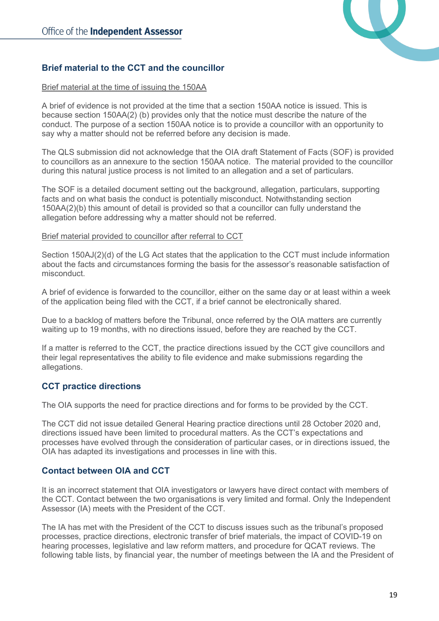

## <span id="page-19-0"></span>**Brief material to the CCT and the councillor**

#### Brief material at the time of issuing the 150AA

A brief of evidence is not provided at the time that a section 150AA notice is issued. This is because section 150AA(2) (b) provides only that the notice must describe the nature of the conduct. The purpose of a section 150AA notice is to provide a councillor with an opportunity to say why a matter should not be referred before any decision is made.

The QLS submission did not acknowledge that the OIA draft Statement of Facts (SOF) is provided to councillors as an annexure to the section 150AA notice. The material provided to the councillor during this natural justice process is not limited to an allegation and a set of particulars.

The SOF is a detailed document setting out the background, allegation, particulars, supporting facts and on what basis the conduct is potentially misconduct. Notwithstanding section 150AA(2)(b) this amount of detail is provided so that a councillor can fully understand the allegation before addressing why a matter should not be referred.

#### Brief material provided to councillor after referral to CCT

Section 150AJ(2)(d) of the LG Act states that the application to the CCT must include information about the facts and circumstances forming the basis for the assessor's reasonable satisfaction of misconduct.

A brief of evidence is forwarded to the councillor, either on the same day or at least within a week of the application being filed with the CCT, if a brief cannot be electronically shared.

Due to a backlog of matters before the Tribunal, once referred by the OIA matters are currently waiting up to 19 months, with no directions issued, before they are reached by the CCT.

If a matter is referred to the CCT, the practice directions issued by the CCT give councillors and their legal representatives the ability to file evidence and make submissions regarding the allegations.

### <span id="page-19-1"></span>**CCT practice directions**

The OIA supports the need for practice directions and for forms to be provided by the CCT.

The CCT did not issue detailed General Hearing practice directions until 28 October 2020 and, directions issued have been limited to procedural matters. As the CCT's expectations and processes have evolved through the consideration of particular cases, or in directions issued, the OIA has adapted its investigations and processes in line with this.

### <span id="page-19-2"></span>**Contact between OIA and CCT**

It is an incorrect statement that OIA investigators or lawyers have direct contact with members of the CCT. Contact between the two organisations is very limited and formal. Only the Independent Assessor (IA) meets with the President of the CCT.

The IA has met with the President of the CCT to discuss issues such as the tribunal's proposed processes, practice directions, electronic transfer of brief materials, the impact of COVID-19 on hearing processes, legislative and law reform matters, and procedure for QCAT reviews. The following table lists, by financial year, the number of meetings between the IA and the President of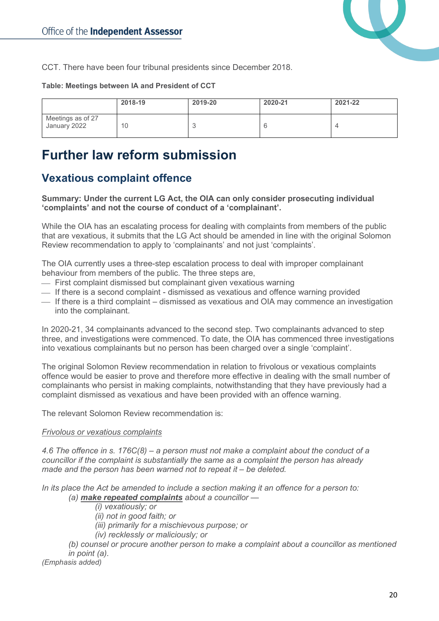

CCT. There have been four tribunal presidents since December 2018.

#### **Table: Meetings between IA and President of CCT**

|                                   | 2018-19 | 2019-20 | 2020-21 | 2021-22 |
|-----------------------------------|---------|---------|---------|---------|
| Meetings as of 27<br>January 2022 | 10      |         |         |         |

# <span id="page-20-0"></span>**Further law reform submission**

## <span id="page-20-1"></span>**Vexatious complaint offence**

**Summary: Under the current LG Act, the OIA can only consider prosecuting individual 'complaints' and not the course of conduct of a 'complainant'.**

While the OIA has an escalating process for dealing with complaints from members of the public that are vexatious, it submits that the LG Act should be amended in line with the original Solomon Review recommendation to apply to 'complainants' and not just 'complaints'.

The OIA currently uses a three-step escalation process to deal with improper complainant behaviour from members of the public. The three steps are,

- First complaint dismissed but complainant given vexatious warning
- $\equiv$  If there is a second complaint dismissed as vexatious and offence warning provided
- $-$  If there is a third complaint dismissed as vexatious and OIA may commence an investigation into the complainant.

In 2020-21, 34 complainants advanced to the second step. Two complainants advanced to step three, and investigations were commenced. To date, the OIA has commenced three investigations into vexatious complainants but no person has been charged over a single 'complaint'.

The original Solomon Review recommendation in relation to frivolous or vexatious complaints offence would be easier to prove and therefore more effective in dealing with the small number of complainants who persist in making complaints, notwithstanding that they have previously had a complaint dismissed as vexatious and have been provided with an offence warning.

The relevant Solomon Review recommendation is:

#### *Frivolous or vexatious complaints*

*4.6 The offence in s. 176C(8) – a person must not make a complaint about the conduct of a councillor if the complaint is substantially the same as a complaint the person has already made and the person has been warned not to repeat it – be deleted.* 

*In its place the Act be amended to include a section making it an offence for a person to: (a) make repeated complaints about a councillor —*

*(i) vexatiously; or*

*(ii) not in good faith; or*

*(iii) primarily for a mischievous purpose; or*

*(iv) recklessly or maliciously; or*

*(b) counsel or procure another person to make a complaint about a councillor as mentioned in point (a).*

*(Emphasis added)*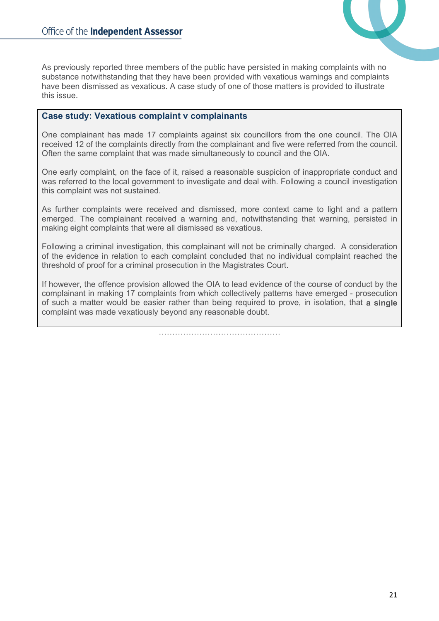

As previously reported three members of the public have persisted in making complaints with no substance notwithstanding that they have been provided with vexatious warnings and complaints have been dismissed as vexatious. A case study of one of those matters is provided to illustrate this issue.

### <span id="page-21-0"></span>**Case study: Vexatious complaint v complainants**

One complainant has made 17 complaints against six councillors from the one council. The OIA received 12 of the complaints directly from the complainant and five were referred from the council. Often the same complaint that was made simultaneously to council and the OIA.

One early complaint, on the face of it, raised a reasonable suspicion of inappropriate conduct and was referred to the local government to investigate and deal with. Following a council investigation this complaint was not sustained.

As further complaints were received and dismissed, more context came to light and a pattern emerged. The complainant received a warning and, notwithstanding that warning, persisted in making eight complaints that were all dismissed as vexatious.

Following a criminal investigation, this complainant will not be criminally charged. A consideration of the evidence in relation to each complaint concluded that no individual complaint reached the threshold of proof for a criminal prosecution in the Magistrates Court.

If however, the offence provision allowed the OIA to lead evidence of the course of conduct by the complainant in making 17 complaints from which collectively patterns have emerged - prosecution of such a matter would be easier rather than being required to prove, in isolation, that **a single**  complaint was made vexatiously beyond any reasonable doubt.

………………………………………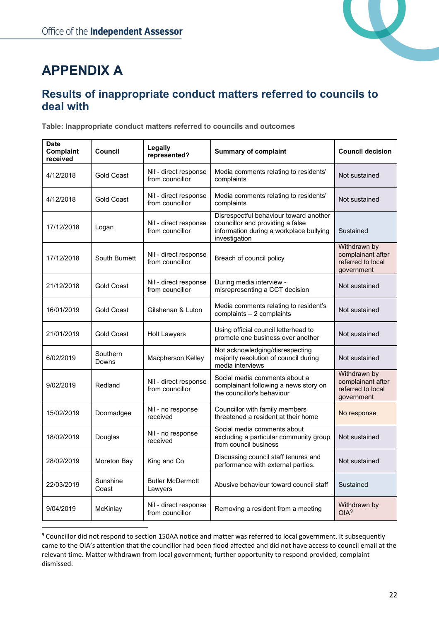

# <span id="page-22-0"></span>**APPENDIX A**

## <span id="page-22-1"></span>**Results of inappropriate conduct matters referred to councils to deal with**

**Table: Inappropriate conduct matters referred to councils and outcomes**

| <b>Date</b><br><b>Complaint</b><br>received | Council           | Legally<br>represented?                  | <b>Summary of complaint</b>                                                                                                            | <b>Council decision</b>                                              |
|---------------------------------------------|-------------------|------------------------------------------|----------------------------------------------------------------------------------------------------------------------------------------|----------------------------------------------------------------------|
| 4/12/2018                                   | Gold Coast        | Nil - direct response<br>from councillor | Media comments relating to residents'<br>complaints                                                                                    | Not sustained                                                        |
| 4/12/2018                                   | Gold Coast        | Nil - direct response<br>from councillor | Media comments relating to residents'<br>complaints                                                                                    | Not sustained                                                        |
| 17/12/2018                                  | Logan             | Nil - direct response<br>from councillor | Disrespectful behaviour toward another<br>councillor and providing a false<br>information during a workplace bullying<br>investigation | Sustained                                                            |
| 17/12/2018                                  | South Burnett     | Nil - direct response<br>from councillor | Breach of council policy                                                                                                               | Withdrawn by<br>complainant after<br>referred to local<br>government |
| 21/12/2018                                  | <b>Gold Coast</b> | Nil - direct response<br>from councillor | During media interview -<br>misrepresenting a CCT decision                                                                             | Not sustained                                                        |
| 16/01/2019                                  | <b>Gold Coast</b> | Gilshenan & Luton                        | Media comments relating to resident's<br>complaints - 2 complaints                                                                     | Not sustained                                                        |
| 21/01/2019                                  | Gold Coast        | <b>Holt Lawyers</b>                      | Using official council letterhead to<br>promote one business over another                                                              | Not sustained                                                        |
| 6/02/2019                                   | Southern<br>Downs | Macpherson Kelley                        | Not acknowledging/disrespecting<br>majority resolution of council during<br>media interviews                                           | Not sustained                                                        |
| 9/02/2019                                   | Redland           | Nil - direct response<br>from councillor | Social media comments about a<br>complainant following a news story on<br>the councillor's behaviour                                   | Withdrawn by<br>complainant after<br>referred to local<br>government |
| 15/02/2019                                  | Doomadgee         | Nil - no response<br>received            | Councillor with family members<br>threatened a resident at their home                                                                  | No response                                                          |
| 18/02/2019                                  | Douglas           | Nil - no response<br>received            | Social media comments about<br>excluding a particular community group<br>from council business                                         | Not sustained                                                        |
| 28/02/2019                                  | Moreton Bay       | King and Co                              | Discussing council staff tenures and<br>performance with external parties.                                                             | Not sustained                                                        |
| 22/03/2019                                  | Sunshine<br>Coast | <b>Butler McDermott</b><br>Lawyers       | Abusive behaviour toward council staff                                                                                                 | Sustained                                                            |
| 9/04/2019                                   | McKinlay          | Nil - direct response<br>from councillor | Removing a resident from a meeting                                                                                                     | Withdrawn by<br>OIA <sup>9</sup>                                     |

<span id="page-22-2"></span><sup>&</sup>lt;sup>9</sup> Councillor did not respond to section 150AA notice and matter was referred to local government. It subsequently came to the OIA's attention that the councillor had been flood affected and did not have access to council email at the relevant time. Matter withdrawn from local government, further opportunity to respond provided, complaint dismissed.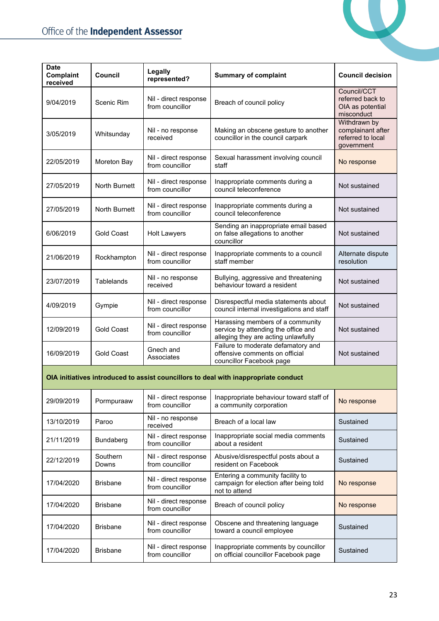17/04/2020 Brisbane Nil - direct response<br>from councillor



| <b>Date</b><br>Complaint<br>received | <b>Council</b>    | Legally<br>represented?                  | <b>Summary of complaint</b>                                                                                    | <b>Council decision</b>                                              |
|--------------------------------------|-------------------|------------------------------------------|----------------------------------------------------------------------------------------------------------------|----------------------------------------------------------------------|
| 9/04/2019                            | Scenic Rim        | Nil - direct response<br>from councillor | Breach of council policy                                                                                       | Council/CCT<br>referred back to<br>OIA as potential<br>misconduct    |
| 3/05/2019                            | Whitsunday        | Nil - no response<br>received            | Making an obscene gesture to another<br>councillor in the council carpark                                      | Withdrawn by<br>complainant after<br>referred to local<br>government |
| 22/05/2019                           | Moreton Bay       | Nil - direct response<br>from councillor | Sexual harassment involving council<br>staff                                                                   | No response                                                          |
| 27/05/2019                           | North Burnett     | Nil - direct response<br>from councillor | Inappropriate comments during a<br>council teleconference                                                      | Not sustained                                                        |
| 27/05/2019                           | North Burnett     | Nil - direct response<br>from councillor | Inappropriate comments during a<br>council teleconference                                                      | Not sustained                                                        |
| 6/06/2019                            | Gold Coast        | <b>Holt Lawyers</b>                      | Sending an inappropriate email based<br>on false allegations to another<br>councillor                          | Not sustained                                                        |
| 21/06/2019                           | Rockhampton       | Nil - direct response<br>from councillor | Inappropriate comments to a council<br>staff member                                                            | Alternate dispute<br>resolution                                      |
| 23/07/2019                           | Tablelands        | Nil - no response<br>received            | Bullying, aggressive and threatening<br>behaviour toward a resident                                            | Not sustained                                                        |
| 4/09/2019                            | Gympie            | Nil - direct response<br>from councillor | Disrespectful media statements about<br>council internal investigations and staff                              | Not sustained                                                        |
| 12/09/2019                           | <b>Gold Coast</b> | Nil - direct response<br>from councillor | Harassing members of a community<br>service by attending the office and<br>alleging they are acting unlawfully | Not sustained                                                        |
| 16/09/2019                           | <b>Gold Coast</b> | Gnech and<br>Associates                  | Failure to moderate defamatory and<br>offensive comments on official<br>councillor Facebook page               | Not sustained                                                        |
|                                      |                   |                                          | OIA initiatives introduced to assist councillors to deal with inappropriate conduct                            |                                                                      |
| 29/09/2019                           | Pormpuraaw        | Nil - direct response<br>from councillor | Inappropriate behaviour toward staff of<br>a community corporation                                             | No response                                                          |
| 13/10/2019                           | Paroo             | Nil - no response<br>received            | Breach of a local law                                                                                          | Sustained                                                            |
| 21/11/2019                           | Bundaberg         | Nil - direct response<br>from councillor | Inappropriate social media comments<br>about a resident                                                        | Sustained                                                            |
| 22/12/2019                           | Southern<br>Downs | Nil - direct response<br>from councillor | Abusive/disrespectful posts about a<br>resident on Facebook                                                    | Sustained                                                            |
| 17/04/2020                           | <b>Brisbane</b>   | Nil - direct response<br>from councillor | Entering a community facility to<br>campaign for election after being told<br>not to attend                    | No response                                                          |
| 17/04/2020                           | <b>Brisbane</b>   | Nil - direct response<br>from councillor | Breach of council policy                                                                                       | No response                                                          |
| 17/04/2020                           | <b>Brisbane</b>   | Nil - direct response<br>from councillor | Obscene and threatening language<br>toward a council employee                                                  | Sustained                                                            |

Inappropriate comments by councillor on official councillor Facebook page Sustained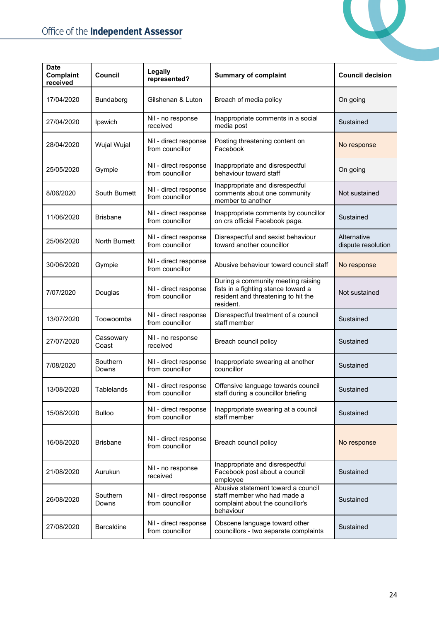

| <b>Date</b><br>Complaint<br>received | <b>Council</b>     | Legally<br>represented?                  | <b>Summary of complaint</b>                                                                                                   | <b>Council decision</b>           |
|--------------------------------------|--------------------|------------------------------------------|-------------------------------------------------------------------------------------------------------------------------------|-----------------------------------|
| 17/04/2020                           | Bundaberg          | Gilshenan & Luton                        | Breach of media policy                                                                                                        | On going                          |
| 27/04/2020                           | Ipswich            | Nil - no response<br>received            | Inappropriate comments in a social<br>media post                                                                              | Sustained                         |
| 28/04/2020                           | Wujal Wujal        | Nil - direct response<br>from councillor | Posting threatening content on<br>Facebook                                                                                    | No response                       |
| 25/05/2020                           | Gympie             | Nil - direct response<br>from councillor | Inappropriate and disrespectful<br>behaviour toward staff                                                                     | On going                          |
| 8/06/2020                            | South Burnett      | Nil - direct response<br>from councillor | Inappropriate and disrespectful<br>comments about one community<br>member to another                                          | Not sustained                     |
| 11/06/2020                           | <b>Brisbane</b>    | Nil - direct response<br>from councillor | Inappropriate comments by councillor<br>on crs official Facebook page.                                                        | Sustained                         |
| 25/06/2020                           | North Burnett      | Nil - direct response<br>from councillor | Disrespectful and sexist behaviour<br>toward another councillor                                                               | Alternative<br>dispute resolution |
| 30/06/2020                           | Gympie             | Nil - direct response<br>from councillor | Abusive behaviour toward council staff                                                                                        | No response                       |
| 7/07/2020                            | Douglas            | Nil - direct response<br>from councillor | During a community meeting raising<br>fists in a fighting stance toward a<br>resident and threatening to hit the<br>resident. | Not sustained                     |
| 13/07/2020                           | Toowoomba          | Nil - direct response<br>from councillor | Disrespectful treatment of a council<br>staff member                                                                          | Sustained                         |
| 27/07/2020                           | Cassowary<br>Coast | Nil - no response<br>received            | Breach council policy                                                                                                         | Sustained                         |
| 7/08/2020                            | Southern<br>Downs  | Nil - direct response<br>from councillor | Inappropriate swearing at another<br>councillor                                                                               | Sustained                         |
| 13/08/2020                           | Tablelands         | Nil - direct response<br>from councillor | Offensive language towards council<br>staff during a councillor briefing                                                      | Sustained                         |
| 15/08/2020                           | <b>Bulloo</b>      | Nil - direct response<br>from councillor | Inappropriate swearing at a council<br>staff member                                                                           | Sustained                         |
| 16/08/2020                           | <b>Brisbane</b>    | Nil - direct response<br>from councillor | Breach council policy                                                                                                         | No response                       |
| 21/08/2020                           | Aurukun            | Nil - no response<br>received            | Inappropriate and disrespectful<br>Facebook post about a council<br>employee                                                  | Sustained                         |
| 26/08/2020                           | Southern<br>Downs  | Nil - direct response<br>from councillor | Abusive statement toward a council<br>staff member who had made a<br>complaint about the councillor's<br>behaviour            | Sustained                         |
| 27/08/2020                           | Barcaldine         | Nil - direct response<br>from councillor | Obscene language toward other<br>councillors - two separate complaints                                                        | Sustained                         |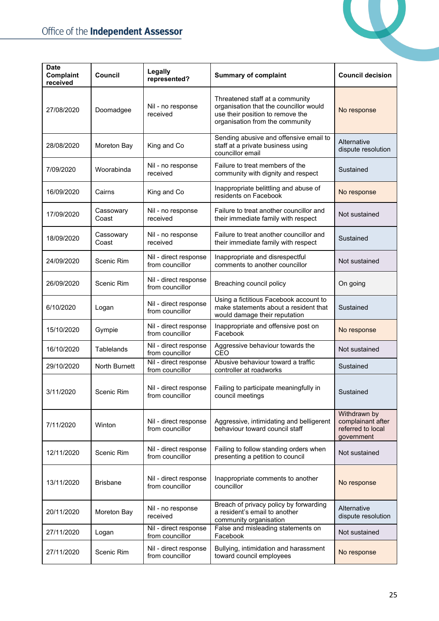

| <b>Date</b><br>Complaint<br>received | <b>Council</b>     | Legally<br>represented?                  | <b>Summary of complaint</b>                                                                                                                      | <b>Council decision</b>                                              |
|--------------------------------------|--------------------|------------------------------------------|--------------------------------------------------------------------------------------------------------------------------------------------------|----------------------------------------------------------------------|
| 27/08/2020                           | Doomadgee          | Nil - no response<br>received            | Threatened staff at a community<br>organisation that the councillor would<br>use their position to remove the<br>organisation from the community | No response                                                          |
| 28/08/2020                           | Moreton Bay        | King and Co                              | Sending abusive and offensive email to<br>staff at a private business using<br>councillor email                                                  | Alternative<br>dispute resolution                                    |
| 7/09/2020                            | Woorabinda         | Nil - no response<br>received            | Failure to treat members of the<br>community with dignity and respect                                                                            | Sustained                                                            |
| 16/09/2020                           | Cairns             | King and Co                              | Inappropriate belittling and abuse of<br>residents on Facebook                                                                                   | No response                                                          |
| 17/09/2020                           | Cassowary<br>Coast | Nil - no response<br>received            | Failure to treat another councillor and<br>their immediate family with respect                                                                   | Not sustained                                                        |
| 18/09/2020                           | Cassowary<br>Coast | Nil - no response<br>received            | Failure to treat another councillor and<br>their immediate family with respect                                                                   | Sustained                                                            |
| 24/09/2020                           | Scenic Rim         | Nil - direct response<br>from councillor | Inappropriate and disrespectful<br>comments to another councillor                                                                                | Not sustained                                                        |
| 26/09/2020                           | Scenic Rim         | Nil - direct response<br>from councillor | Breaching council policy                                                                                                                         | On going                                                             |
| 6/10/2020                            | Logan              | Nil - direct response<br>from councillor | Using a fictitious Facebook account to<br>make statements about a resident that<br>would damage their reputation                                 | Sustained                                                            |
| 15/10/2020                           | Gympie             | Nil - direct response<br>from councillor | Inappropriate and offensive post on<br>Facebook                                                                                                  | No response                                                          |
| 16/10/2020                           | <b>Tablelands</b>  | Nil - direct response<br>from councillor | Aggressive behaviour towards the<br>CEO                                                                                                          | Not sustained                                                        |
| 29/10/2020                           | North Burnett      | Nil - direct response<br>from councillor | Abusive behaviour toward a traffic<br>controller at roadworks                                                                                    | Sustained                                                            |
| 3/11/2020                            | Scenic Rim         | Nil - direct response<br>from councillor | Failing to participate meaningfully in<br>council meetings                                                                                       | Sustained                                                            |
| 7/11/2020                            | Winton             | Nil - direct response<br>from councillor | Aggressive, intimidating and belligerent<br>behaviour toward council staff                                                                       | Withdrawn by<br>complainant after<br>referred to local<br>government |
| 12/11/2020                           | Scenic Rim         | Nil - direct response<br>from councillor | Failing to follow standing orders when<br>presenting a petition to council                                                                       | Not sustained                                                        |
| 13/11/2020                           | <b>Brisbane</b>    | Nil - direct response<br>from councillor | Inappropriate comments to another<br>councillor                                                                                                  | No response                                                          |
| 20/11/2020                           | Moreton Bay        | Nil - no response<br>received            | Breach of privacy policy by forwarding<br>a resident's email to another<br>community organisation                                                | Alternative<br>dispute resolution                                    |
| 27/11/2020                           | Logan              | Nil - direct response<br>from councillor | False and misleading statements on<br>Facebook                                                                                                   | Not sustained                                                        |
| 27/11/2020                           | Scenic Rim         | Nil - direct response<br>from councillor | Bullying, intimidation and harassment<br>toward council employees                                                                                | No response                                                          |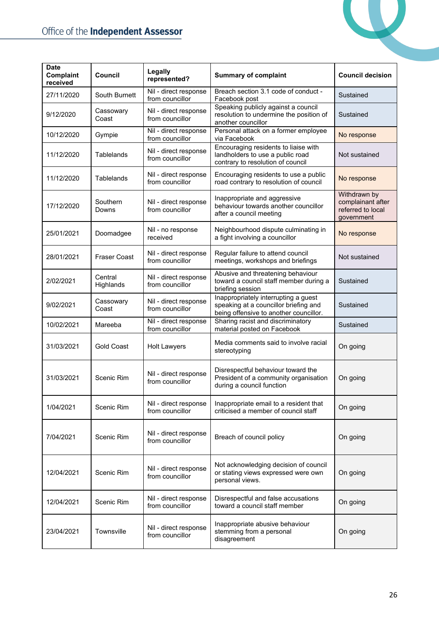

| <b>Date</b><br>Complaint<br>received | Council              | Legally<br>represented?                  | <b>Summary of complaint</b>                                                                                             | <b>Council decision</b>                                              |
|--------------------------------------|----------------------|------------------------------------------|-------------------------------------------------------------------------------------------------------------------------|----------------------------------------------------------------------|
| 27/11/2020                           | South Burnett        | Nil - direct response<br>from councillor | Breach section 3.1 code of conduct -<br>Facebook post                                                                   | Sustained                                                            |
| 9/12/2020                            | Cassowary<br>Coast   | Nil - direct response<br>from councillor | Speaking publicly against a council<br>resolution to undermine the position of<br>another councillor                    | Sustained                                                            |
| 10/12/2020                           | Gympie               | Nil - direct response<br>from councillor | Personal attack on a former employee<br>via Facebook                                                                    | No response                                                          |
| 11/12/2020                           | <b>Tablelands</b>    | Nil - direct response<br>from councillor | Encouraging residents to liaise with<br>landholders to use a public road<br>contrary to resolution of council           | Not sustained                                                        |
| 11/12/2020                           | Tablelands           | Nil - direct response<br>from councillor | Encouraging residents to use a public<br>road contrary to resolution of council                                         | No response                                                          |
| 17/12/2020                           | Southern<br>Downs    | Nil - direct response<br>from councillor | Inappropriate and aggressive<br>behaviour towards another councillor<br>after a council meeting                         | Withdrawn by<br>complainant after<br>referred to local<br>government |
| 25/01/2021                           | Doomadgee            | Nil - no response<br>received            | Neighbourhood dispute culminating in<br>a fight involving a councillor                                                  | No response                                                          |
| 28/01/2021                           | <b>Fraser Coast</b>  | Nil - direct response<br>from councillor | Regular failure to attend council<br>meetings, workshops and briefings                                                  | Not sustained                                                        |
| 2/02/2021                            | Central<br>Highlands | Nil - direct response<br>from councillor | Abusive and threatening behaviour<br>toward a council staff member during a<br>briefing session                         | Sustained                                                            |
| 9/02/2021                            | Cassowary<br>Coast   | Nil - direct response<br>from councillor | Inappropriately interrupting a guest<br>speaking at a councillor briefing and<br>being offensive to another councillor. | Sustained                                                            |
| 10/02/2021                           | Mareeba              | Nil - direct response<br>from councillor | Sharing racist and discriminatory<br>material posted on Facebook                                                        | Sustained                                                            |
| 31/03/2021                           | <b>Gold Coast</b>    | <b>Holt Lawyers</b>                      | Media comments said to involve racial<br>stereotyping                                                                   | On going                                                             |
| 31/03/2021                           | Scenic Rim           | Nil - direct response<br>from councillor | Disrespectful behaviour toward the<br>President of a community organisation<br>during a council function                | On going                                                             |
| 1/04/2021                            | Scenic Rim           | Nil - direct response<br>from councillor | Inappropriate email to a resident that<br>criticised a member of council staff                                          | On going                                                             |
| 7/04/2021                            | Scenic Rim           | Nil - direct response<br>from councillor | Breach of council policy                                                                                                | On going                                                             |
| 12/04/2021                           | Scenic Rim           | Nil - direct response<br>from councillor | Not acknowledging decision of council<br>or stating views expressed were own<br>personal views.                         | On going                                                             |
| 12/04/2021                           | Scenic Rim           | Nil - direct response<br>from councillor | Disrespectful and false accusations<br>toward a council staff member                                                    | On going                                                             |
| 23/04/2021                           | Townsville           | Nil - direct response<br>from councillor | Inappropriate abusive behaviour<br>stemming from a personal<br>disagreement                                             | On going                                                             |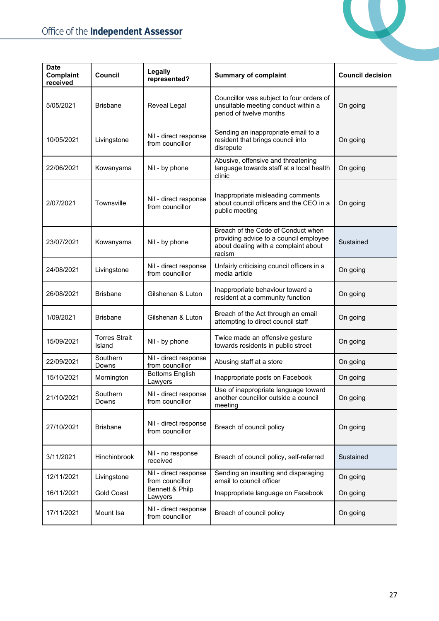

| <b>Date</b><br>Complaint<br>received | <b>Council</b>                 | Legally<br>represented?                  | <b>Summary of complaint</b>                                                                                                    | <b>Council decision</b> |
|--------------------------------------|--------------------------------|------------------------------------------|--------------------------------------------------------------------------------------------------------------------------------|-------------------------|
| 5/05/2021                            | <b>Brisbane</b>                | Reveal Legal                             | Councillor was subject to four orders of<br>unsuitable meeting conduct within a<br>period of twelve months                     | On going                |
| 10/05/2021                           | Livingstone                    | Nil - direct response<br>from councillor | Sending an inappropriate email to a<br>resident that brings council into<br>disrepute                                          | On going                |
| 22/06/2021                           | Kowanyama                      | Nil - by phone                           | Abusive, offensive and threatening<br>language towards staff at a local health<br>clinic                                       | On going                |
| 2/07/2021                            | Townsville                     | Nil - direct response<br>from councillor | Inappropriate misleading comments<br>about council officers and the CEO in a<br>public meeting                                 | On going                |
| 23/07/2021                           | Kowanyama                      | Nil - by phone                           | Breach of the Code of Conduct when<br>providing advice to a council employee<br>about dealing with a complaint about<br>racism | Sustained               |
| 24/08/2021                           | Livingstone                    | Nil - direct response<br>from councillor | Unfairly criticising council officers in a<br>media article                                                                    | On going                |
| 26/08/2021                           | <b>Brisbane</b>                | Gilshenan & Luton                        | Inappropriate behaviour toward a<br>resident at a community function                                                           | On going                |
| 1/09/2021                            | <b>Brisbane</b>                | Gilshenan & Luton                        | Breach of the Act through an email<br>attempting to direct council staff                                                       | On going                |
| 15/09/2021                           | <b>Torres Strait</b><br>Island | Nil - by phone                           | Twice made an offensive gesture<br>towards residents in public street                                                          | On going                |
| 22/09/2021                           | Southern<br>Downs              | Nil - direct response<br>from councillor | Abusing staff at a store                                                                                                       | On going                |
| 15/10/2021                           | Mornington                     | <b>Bottoms English</b><br>Lawyers        | Inappropriate posts on Facebook                                                                                                | On going                |
| 21/10/2021                           | Southern<br>Downs              | Nil - direct response<br>from councillor | Use of inappropriate language toward<br>another councillor outside a council<br>meeting                                        | On going                |
| 27/10/2021                           | <b>Brisbane</b>                | Nil - direct response<br>from councillor | Breach of council policy                                                                                                       | On going                |
| 3/11/2021                            | Hinchinbrook                   | Nil - no response<br>received            | Breach of council policy, self-referred                                                                                        | Sustained               |
| 12/11/2021                           | Livingstone                    | Nil - direct response<br>from councillor | Sending an insulting and disparaging<br>email to council officer                                                               | On going                |
| 16/11/2021                           | Gold Coast                     | Bennett & Philp<br>Lawyers               | Inappropriate language on Facebook                                                                                             | On going                |
| 17/11/2021                           | Mount Isa                      | Nil - direct response<br>from councillor | Breach of council policy                                                                                                       | On going                |